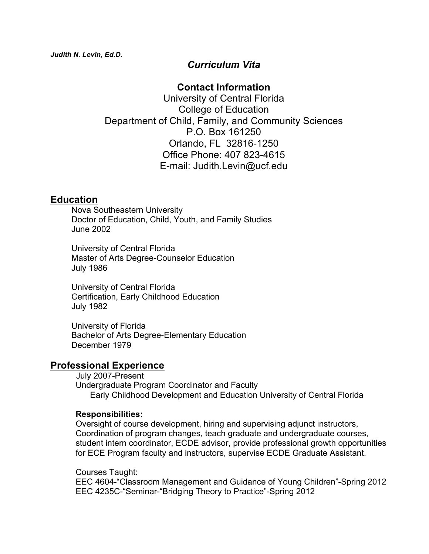# *Curriculum Vita*

# **Contact Information**

University of Central Florida College of Education Department of Child, Family, and Community Sciences P.O. Box 161250 Orlando, FL 32816-1250 Office Phone: 407 823-4615 E-mail: Judith.Levin@ucf.edu

# **Education**

 Nova Southeastern University Doctor of Education, Child, Youth, and Family Studies June 2002

 University of Central Florida Master of Arts Degree-Counselor Education July 1986

 University of Central Florida Certification, Early Childhood Education July 1982

 University of Florida Bachelor of Arts Degree-Elementary Education December 1979

# **Professional Experience**

 July 2007-Present Undergraduate Program Coordinator and Faculty Early Childhood Development and Education University of Central Florida

### **Responsibilities:**

Oversight of course development, hiring and supervising adjunct instructors, Coordination of program changes, teach graduate and undergraduate courses, student intern coordinator, ECDE advisor, provide professional growth opportunities for ECE Program faculty and instructors, supervise ECDE Graduate Assistant.

Courses Taught:

EEC 4604-"Classroom Management and Guidance of Young Children"-Spring 2012 EEC 4235C-"Seminar-"Bridging Theory to Practice"-Spring 2012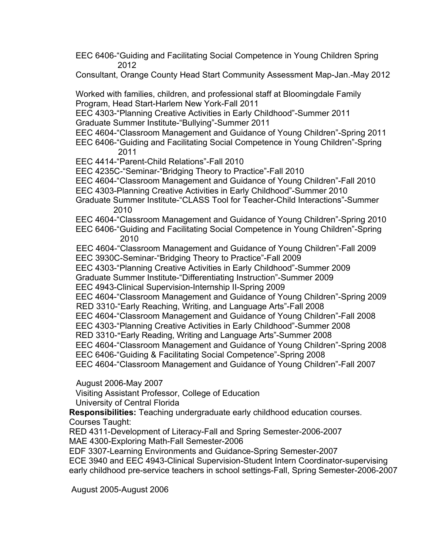EEC 6406-"Guiding and Facilitating Social Competence in Young Children Spring 2012

Consultant, Orange County Head Start Community Assessment Map-Jan.-May 2012

Worked with families, children, and professional staff at Bloomingdale Family Program, Head Start-Harlem New York-Fall 2011

EEC 4303-"Planning Creative Activities in Early Childhood"-Summer 2011 Graduate Summer Institute-"Bullying"-Summer 2011

EEC 4604-"Classroom Management and Guidance of Young Children"-Spring 2011

 EEC 6406-"Guiding and Facilitating Social Competence in Young Children"-Spring 2011

EEC 4414-"Parent-Child Relations"-Fall 2010

EEC 4235C-"Seminar-"Bridging Theory to Practice"-Fall 2010

EEC 4604-"Classroom Management and Guidance of Young Children"-Fall 2010

EEC 4303-Planning Creative Activities in Early Childhood"-Summer 2010

 Graduate Summer Institute-"CLASS Tool for Teacher-Child Interactions"-Summer 2010

EEC 4604-"Classroom Management and Guidance of Young Children"-Spring 2010

EEC 6406-"Guiding and Facilitating Social Competence in Young Children"-Spring 2010

 EEC 4604-"Classroom Management and Guidance of Young Children"-Fall 2009 EEC 3930C-Seminar-"Bridging Theory to Practice"-Fall 2009

EEC 4303-"Planning Creative Activities in Early Childhood"-Summer 2009

Graduate Summer Institute-"Differentiating Instruction"-Summer 2009

EEC 4943-Clinical Supervision-Internship II-Spring 2009

 EEC 4604-"Classroom Management and Guidance of Young Children"-Spring 2009 RED 3310-"Early Reaching, Writing, and Language Arts"-Fall 2008

EEC 4604-"Classroom Management and Guidance of Young Children"-Fall 2008

EEC 4303-"Planning Creative Activities in Early Childhood"-Summer 2008

RED 3310-**"**Early Reading, Writing and Language Arts"-Summer 2008

EEC 4604-"Classroom Management and Guidance of Young Children"-Spring 2008

EEC 6406-"Guiding & Facilitating Social Competence"-Spring 2008

EEC 4604-"Classroom Management and Guidance of Young Children"-Fall 2007

August 2006-May 2007

Visiting Assistant Professor, College of Education

University of Central Florida

 **Responsibilities:** Teaching undergraduate early childhood education courses. Courses Taught:

 RED 4311-Development of Literacy-Fall and Spring Semester-2006-2007 MAE 4300-Exploring Math-Fall Semester-2006

 EDF 3307-Learning Environments and Guidance-Spring Semester-2007 ECE 3940 and EEC 4943-Clinical Supervision-Student Intern Coordinator-supervising early childhood pre-service teachers in school settings-Fall, Spring Semester-2006-2007

August 2005-August 2006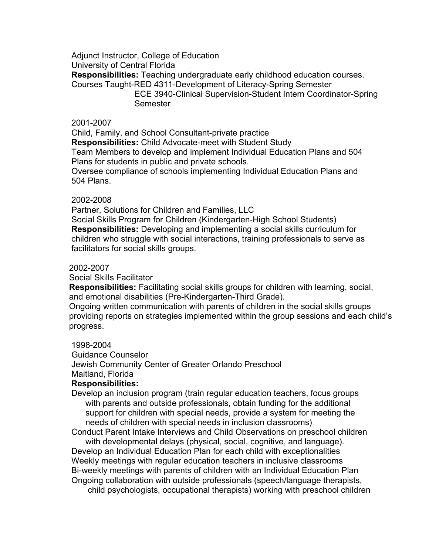Adjunct Instructor, College of Education University of Central Florida **Responsibilities:** Teaching undergraduate early childhood education courses. Courses Taught-RED 4311-Development of Literacy-Spring Semester ECE 3940-Clinical Supervision-Student Intern Coordinator-Spring Semester

#### 2001-2007

Child, Family, and School Consultant-private practice

**Responsibilities:** Child Advocate-meet with Student Study

 Team Members to develop and implement Individual Education Plans and 504 Plans for students in public and private schools.

 Oversee compliance of schools implementing Individual Education Plans and 504 Plans.

#### 2002-2008

Partner, Solutions for Children and Families, LLC

 Social Skills Program for Children (Kindergarten-High School Students) **Responsibilities:** Developing and implementing a social skills curriculum for children who struggle with social interactions, training professionals to serve as facilitators for social skills groups.

#### 2002-2007

Social Skills Facilitator

 **Responsibilities:** Facilitating social skills groups for children with learning, social, and emotional disabilities (Pre-Kindergarten-Third Grade).

 Ongoing written communication with parents of children in the social skills groups providing reports on strategies implemented within the group sessions and each child's progress.

#### !!!!1998-2004

 Guidance Counselor Jewish Community Center of Greater Orlando Preschool Maitland, Florida

### **Responsibilities:**

Develop an inclusion program (train regular education teachers, focus groups with parents and outside professionals, obtain funding for the additional support for children with special needs, provide a system for meeting the needs of children with special needs in inclusion classrooms)

Conduct Parent Intake Interviews and Child Observations on preschool children with developmental delays (physical, social, cognitive, and language). Develop an Individual Education Plan for each child with exceptionalities Weekly meetings with regular education teachers in inclusive classrooms Bi-weekly meetings with parents of children with an Individual Education Plan Ongoing collaboration with outside professionals (speech/language therapists, child psychologists, occupational therapists) working with preschool children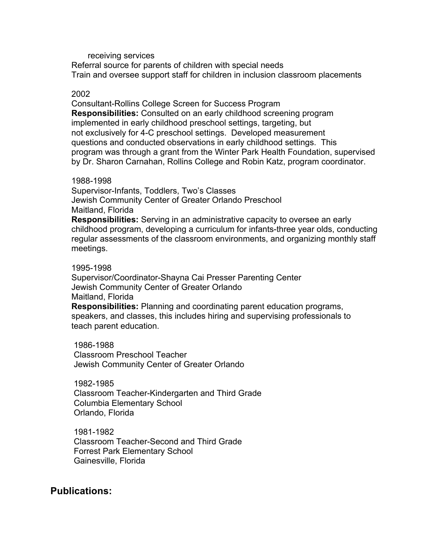#### receiving services

 Referral source for parents of children with special needs Train and oversee support staff for children in inclusion classroom placements

#### 2002

 Consultant-Rollins College Screen for Success Program **Responsibilities:** Consulted on an early childhood screening program implemented in early childhood preschool settings, targeting, but not exclusively for 4-C preschool settings. Developed measurement questions and conducted observations in early childhood settings. This program was through a grant from the Winter Park Health Foundation, supervised by Dr. Sharon Carnahan, Rollins College and Robin Katz, program coordinator.

#### 1988-1998

 Supervisor-Infants, Toddlers, Two's Classes Jewish Community Center of Greater Orlando Preschool Maitland, Florida **Responsibilities:** Serving in an administrative capacity to oversee an early

 childhood program, developing a curriculum for infants-three year olds, conducting regular assessments of the classroom environments, and organizing monthly staff meetings.

#### 1995-1998

 Supervisor/Coordinator-Shayna Cai Presser Parenting Center Jewish Community Center of Greater Orlando Maitland, Florida

 **Responsibilities:** Planning and coordinating parent education programs, speakers, and classes, this includes hiring and supervising professionals to teach parent education.

 1986-1988 Classroom Preschool Teacher Jewish Community Center of Greater Orlando

 1982-1985 Classroom Teacher-Kindergarten and Third Grade Columbia Elementary School Orlando, Florida

 1981-1982 Classroom Teacher-Second and Third Grade Forrest Park Elementary School Gainesville, Florida

## **Publications:**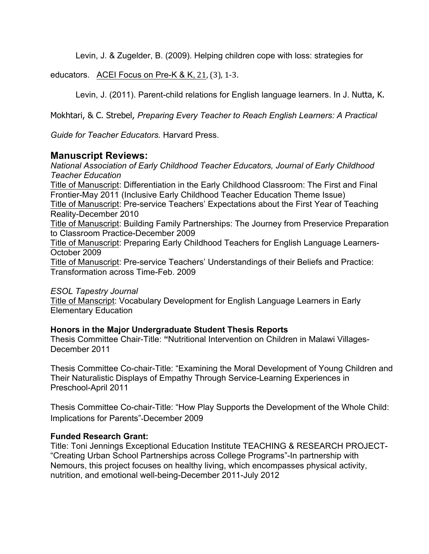Levin, J. & Zugelder, B. (2009). Helping children cope with loss: strategies for

educators. ACEI Focus on Pre-K & K,  $21$ ,  $(3)$ , 1-3.

Levin, J. (2011). Parent-child relations for English language learners. In J. Nutta, K.

Mokhtari, & C. Strebel, *Preparing Every Teacher to Reach English Learners: A Practical* 

*Guide for Teacher Educators.* Harvard Press.

## **Manuscript Reviews:**

*National Association of Early Childhood Teacher Educators, Journal of Early Childhood Teacher Education* Title of Manuscript: Differentiation in the Early Childhood Classroom: The First and Final Frontier-May 2011 (Inclusive Early Childhood Teacher Education Theme Issue) Title of Manuscript: Pre-service Teachers' Expectations about the First Year of Teaching Reality-December 2010 Title of Manuscript: Building Family Partnerships: The Journey from Preservice Preparation to Classroom Practice-December 2009 Title of Manuscript: Preparing Early Childhood Teachers for English Language Learners-October 2009 Title of Manuscript: Pre-service Teachers' Understandings of their Beliefs and Practice: Transformation across Time-Feb. 2009

*ESOL Tapestry Journal*

Title of Manscript: Vocabulary Development for English Language Learners in Early Elementary Education

### **Honors in the Major Undergraduate Student Thesis Reports**

Thesis Committee Chair-Title: **"**Nutritional Intervention on Children in Malawi Villages-December 2011

Thesis Committee Co-chair-Title: "Examining the Moral Development of Young Children and Their Naturalistic Displays of Empathy Through Service-Learning Experiences in Preschool-April 2011

Thesis Committee Co-chair-Title: "How Play Supports the Development of the Whole Child: Implications for Parents"-December 2009

### **Funded Research Grant:**

Title: Toni Jennings Exceptional Education Institute TEACHING & RESEARCH PROJECT- "Creating Urban School Partnerships across College Programs"-In partnership with Nemours, this project focuses on healthy living, which encompasses physical activity, nutrition, and emotional well-being-December 2011-July 2012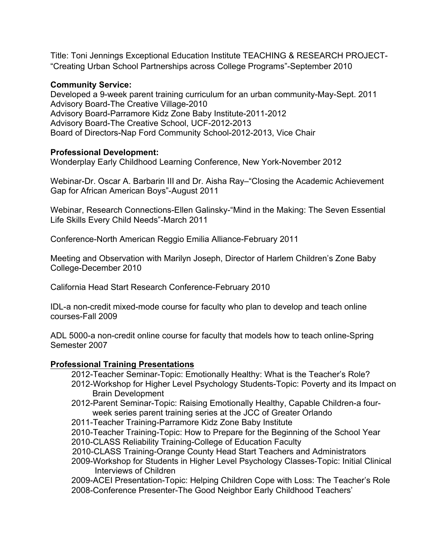Title: Toni Jennings Exceptional Education Institute TEACHING & RESEARCH PROJECT- "Creating Urban School Partnerships across College Programs"-September 2010

### **Community Service:**

Developed a 9-week parent training curriculum for an urban community-May-Sept. 2011 Advisory Board-The Creative Village-2010 Advisory Board-Parramore Kidz Zone Baby Institute-2011-2012 Advisory Board-The Creative School, UCF-2012-2013 Board of Directors-Nap Ford Community School-2012-2013, Vice Chair

### **Professional Development:**

Wonderplay Early Childhood Learning Conference, New York-November 2012

Webinar-Dr. Oscar A. Barbarin III and Dr. Aisha Ray–"Closing the Academic Achievement Gap for African American Boys"-August 2011

Webinar, Research Connections-Ellen Galinsky-"Mind in the Making: The Seven Essential Life Skills Every Child Needs"-March 2011

Conference-North American Reggio Emilia Alliance-February 2011

Meeting and Observation with Marilyn Joseph, Director of Harlem Children's Zone Baby College-December 2010

California Head Start Research Conference-February 2010

IDL-a non-credit mixed-mode course for faculty who plan to develop and teach online courses-Fall 2009

ADL 5000-a non-credit online course for faculty that models how to teach online-Spring Semester 2007

## **Professional Training Presentations**

2012-Teacher Seminar-Topic: Emotionally Healthy: What is the Teacher's Role?

- 2012-Workshop for Higher Level Psychology Students-Topic: Poverty and its Impact on Brain Development
- 2012-Parent Seminar-Topic: Raising Emotionally Healthy, Capable Children-a four week series parent training series at the JCC of Greater Orlando

2011-Teacher Training-Parramore Kidz Zone Baby Institute

- 2010-Teacher Training-Topic: How to Prepare for the Beginning of the School Year 2010-CLASS Reliability Training-College of Education Faculty
- 2010-CLASS Training-Orange County Head Start Teachers and Administrators

 2009-Workshop for Students in Higher Level Psychology Classes-Topic: Initial Clinical Interviews of Children

 2009-ACEI Presentation-Topic: Helping Children Cope with Loss: The Teacher's Role 2008-Conference Presenter-The Good Neighbor Early Childhood Teachers'